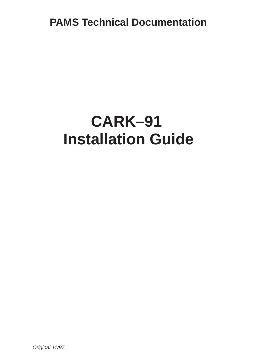**PAMS Technical Documentation**

# **CARK–91 Installation Guide**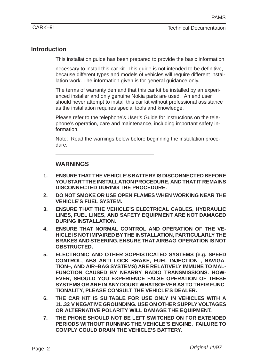## **Introduction**

This installation guide has been prepared to provide the basic information

necessary to install this car kit. This guide is not intended to be definitive, because different types and models of vehicles will require different installation work. The information given is for general guidance only.

The terms of warranty demand that this car kit be installed by an experienced installer and only genuine Nokia parts are used. An end user should never attempt to install this car kit without professional assistance as the installation requires special tools and knowledge.

Please refer to the telephone's User's Guide for instructions on the telephone's operation, care and maintenance, including important safety information.

Note: Read the warnings below before beginning the installation procedure.

## **WARNINGS**

- **1. ENSURE THAT THE VEHICLE'S BATTERY IS DISCONNECTED BEFORE YOU START THE INSTALLATION PROCEDURE, AND THAT IT REMAINS DISCONNECTED DURING THE PROCEDURE.**
- **2. DO NOT SMOKE OR USE OPEN FLAMES WHEN WORKING NEAR THE VEHICLE'S FUEL SYSTEM.**
- **3. ENSURE THAT THE VEHICLE'S ELECTRICAL CABLES, HYDRAULIC LINES, FUEL LINES, AND SAFETY EQUIPMENT ARE NOT DAMAGED DURING INSTALLATION.**
- **4. ENSURE THAT NORMAL CONTROL AND OPERATION OF THE VE-HICLE IS NOT IMPAIRED BY THE INSTALLATION, PARTICULARLY THE BRAKES AND STEERING. ENSURE THAT AIRBAG OPERATION IS NOT OBSTRUCTED.**
- **5. ELECTRONIC AND OTHER SOPHISTICATED SYSTEMS (e.g. SPEED CONTROL, ABS ANTI–LOCK BRAKE, FUEL INJECTION–, NAVIGA-TION–, AND AIR–BAG SYSTEMS) ARE RELATIVELY IMMUNE TO MAL-FUNCTION CAUSED BY NEARBY RADIO TRANSMISSIONS. HOW-EVER, SHOULD YOU EXPERIENCE FALSE OPERATION OF THESE SYSTEMS OR ARE IN ANY DOUBT WHATSOEVER AS TO THEIR FUNC-TIONALITY, PLEASE CONSULT THE VEHICLE'S DEALER.**
- **6. THE CAR KIT IS SUITABLE FOR USE ONLY IN VEHICLES WITH A 11..32 V NEGATIVE GROUNDING. USE ON OTHER SUPPLY VOLTAGES OR ALTERNATIVE POLARITY WILL DAMAGE THE EQUIPMENT.**
- **7. THE PHONE SHOULD NOT BE LEFT SWITCHED ON FOR EXTENDED PERIODS WITHOUT RUNNING THE VEHICLE'S ENGINE. FAILURE TO COMPLY COULD DRAIN THE VEHICLE'S BATTERY.**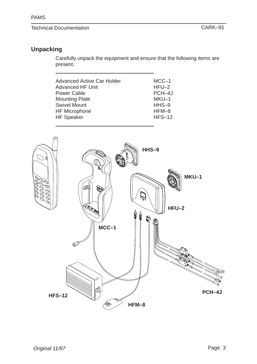# Technical Documentation CARK–91

# **Unpacking**

Carefully unpack the equipment and ensure that the following items are present.

| <b>Advanced Active Car Holder</b><br><b>Advanced HF Unit</b><br><b>Power Cable</b><br><b>Mounting Plate</b><br><b>Swivel Mount</b><br><b>HF Microphone</b> | $MCC-1$<br>$HFU-2$<br>PCH-4J<br>MKU-1<br>$HHS-9$<br>$HFM-8$ |
|------------------------------------------------------------------------------------------------------------------------------------------------------------|-------------------------------------------------------------|
| <b>HF Speaker</b>                                                                                                                                          | $HFS-12$                                                    |
|                                                                                                                                                            |                                                             |

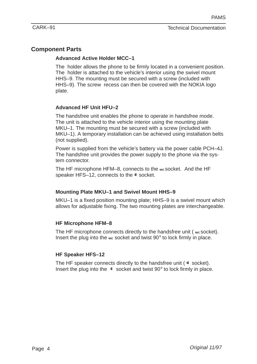# **Component Parts**

## **Advanced Active Holder MCC–1**

The holder allows the phone to be firmly located in a convenient position. The holder is attached to the vehicle's interior using the swivel mount HHS–9. The mounting must be secured with a screw (included with HHS–9). The screw recess can then be covered with the NOKIA logo plate.

## **Advanced HF Unit HFU–2**

The handsfree unit enables the phone to operate in handsfree mode. The unit is attached to the vehicle interior using the mounting plate MKU–1. The mounting must be secured with a screw (included with MKU–1). A temporary installation can be achieved using installation belts (not supplied).

Power is supplied from the vehicle's battery via the power cable PCH–4J. The handsfree unit provides the power supply to the phone via the system connector.

The HF microphone HFM–8, connects to the MIC Socket. And the HF speaker HFS–12, connects to the  $\Phi$  socket.

#### **Mounting Plate MKU–1 and Swivel Mount HHS–9**

MKU–1 is a fixed position mounting plate; HHS–9 is a swivel mount which allows for adjustable fixing. The two mounting plates are interchangeable.

#### **HF Microphone HFM–8**

The HF microphone connects directly to the handsfree unit (  $_{\text{MIC}}$  socket). Insert the plug into the <sub>MIC</sub> socket and twist 90° to lock firmly in place.

#### **HF Speaker HFS–12**

The HF speaker connects directly to the handsfree unit  $(4 \text{ socket})$ . Insert the plug into the  $\phi$  socket and twist 90 $\degree$  to lock firmly in place.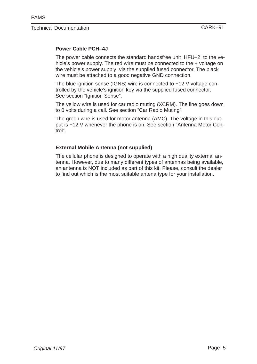## **Power Cable PCH–4J**

The power cable connects the standard handsfree unit HFU–2 to the vehicle's power supply. The red wire must be connected to the + voltage on the vehicle's power supply via the supplied fused connector. The black wire must be attached to a good negative GND connection.

The blue ignition sense (IGNS) wire is connected to +12 V voltage controlled by the vehicle's ignition key via the supplied fused connector. See section "Ignition Sense".

The yellow wire is used for car radio muting (XCRM). The line goes down to 0 volts during a call. See section "Car Radio Muting".

The green wire is used for motor antenna (AMC). The voltage in this output is +12 V whenever the phone is on. See section "Antenna Motor Control".

#### **External Mobile Antenna (not supplied)**

The cellular phone is designed to operate with a high quality external antenna. However, due to many different types of antennas being available, an antenna is NOT included as part of this kit. Please, consult the dealer to find out which is the most suitable antena type for your installation.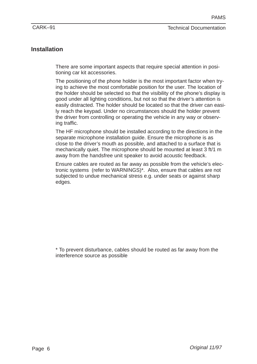# **Installation**

There are some important aspects that require special attention in positioning car kit accessories.

The positioning of the phone holder is the most important factor when trying to achieve the most comfortable position for the user. The location of the holder should be selected so that the visibility of the phone's display is good under all lighting conditions, but not so that the driver's attention is easily distracted. The holder should be located so that the driver can easily reach the keypad. Under no circumstances should the holder prevent the driver from controlling or operating the vehicle in any way or observing traffic.

The HF microphone should be installed according to the directions in the separate microphone installation guide. Ensure the microphone is as close to the driver's mouth as possible, and attached to a surface that is mechanically quiet. The microphone should be mounted at least 3 ft/1 m away from the handsfree unit speaker to avoid acoustic feedback.

Ensure cables are routed as far away as possible from the vehicle's electronic systems (refer to WARNINGS)\*. Also, ensure that cables are not subjected to undue mechanical stress e.g. under seats or against sharp edges.

\* To prevent disturbance, cables should be routed as far away from the interference source as possible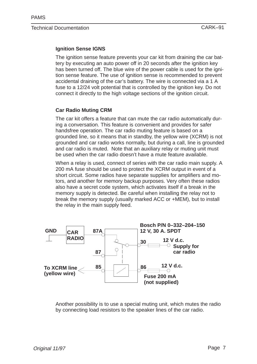#### **Ignition Sense IGNS**

The ignition sense feature prevents your car kit from draining the car battery by executing an auto power off in 20 seconds after the ignition key has been turned off. The blue wire of the power cable is used for the ignition sense feature. The use of ignition sense is recommended to prevent accidental draining of the car's battery. The wire is connected via a 1 A fuse to a 12/24 volt potential that is controlled by the ignition key. Do not connect it directly to the high voltage sections of the ignition circuit.

#### **Car Radio Muting CRM**

The car kit offers a feature that can mute the car radio automatically during a conversation. This feature is convenient and provides for safer handsfree operation. The car radio muting feature is based on a grounded line, so it means that in standby, the yellow wire (XCRM) is not grounded and car radio works normally, but during a call, line is grounded and car radio is muted. Note that an auxiliary relay or muting unit must be used when the car radio doesn't have a mute feature available.

When a relay is used, connect of series with the car radio main supply. A 200 mA fuse should be used to protect the XCRM output in event of a short circuit. Some radios have separate supplies for amplifiers and motors, and another for memory backup purposes. Very often these radios also have a secret code system, which activates itself if a break in the memory supply is detected. Be careful when installing the relay not to break the memory supply (usually marked ACC or +MEM), but to install the relay in the main supply feed.



Another possibility is to use a special muting unit, which mutes the radio by connecting load resistors to the speaker lines of the car radio.